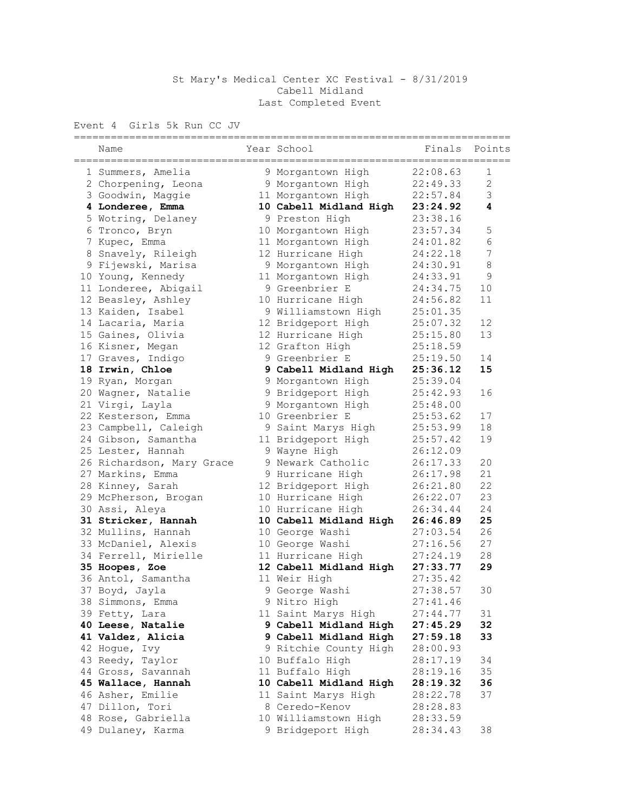## St Mary's Medical Center XC Festival - 8/31/2019 Cabell Midland Last Completed Event

## Event 4 Girls 5k Run CC JV

| -----------<br>Name                   | Year School                            | Finals               | Points       |
|---------------------------------------|----------------------------------------|----------------------|--------------|
| 1 Summers, Amelia                     | 9 Morgantown High                      | 22:08.63             | 1            |
| 2 Chorpening, Leona                   | 9 Morgantown High                      | 22:49.33             | $\mathbf{2}$ |
| 3 Goodwin, Maggie                     | 11 Morgantown High                     | 22:57.84             | 3            |
| 4 Londeree, Emma                      | 10 Cabell Midland High 23:24.92        |                      | 4            |
| 5 Wotring, Delaney                    | 9 Preston High                         | 23:38.16             |              |
| 6 Tronco, Bryn                        | 10 Morgantown High                     | 23:57.34             | 5            |
| 7 Kupec, Emma                         | 11 Morgantown High                     | 24:01.82             | 6            |
| 8 Snavely, Rileigh                    | 12 Hurricane High                      | 24:22.18             | 7            |
| 9 Fijewski, Marisa                    | 9 Morgantown High                      | 24:30.91             | 8            |
| 10 Young, Kennedy                     | 11 Morgantown High                     | 24:33.91             | 9            |
| 11 Londeree, Abigail                  | 9 Greenbrier E                         | 24:34.75             | 10           |
| 12 Beasley, Ashley                    | 10 Hurricane High                      | 24:56.82             | 11           |
| 13 Kaiden, Isabel                     | 9 Williamstown High                    | 25:01.35             |              |
| 14 Lacaria, Maria                     | 12 Bridgeport High                     | 25:07.32             | 12           |
| 15 Gaines, Olivia                     | 12 Hurricane High                      | 25:15.80             | 13           |
| 16 Kisner, Megan                      | 12 Grafton High                        | 25:18.59             |              |
| 17 Graves, Indigo                     | 9 Greenbrier E                         | 25:19.50             | 14           |
| 18 Irwin, Chloe                       | 9 Cabell Midland High                  | 25:36.12             | 15           |
| 19 Ryan, Morgan                       | 9 Morgantown High                      | 25:39.04             |              |
| 20 Wagner, Natalie                    | 9 Bridgeport High                      | 25:42.93             | 16           |
| 21 Virgi, Layla                       | 9 Morgantown High                      | 25:48.00             |              |
| 22 Kesterson, Emma                    | 10 Greenbrier E                        | 25:53.62             | 17           |
| 23 Campbell, Caleigh                  | 9 Saint Marys High                     | 25:53.99             | 18           |
| 24 Gibson, Samantha                   | 11 Bridgeport High                     | 25:57.42             | 19           |
| 25 Lester, Hannah                     | 9 Wayne High                           | 26:12.09             |              |
| 26 Richardson, Mary Grace             | 9 Newark Catholic                      | 26:17.33             | 20           |
| 27 Markins, Emma                      | 9 Hurricane High                       | 26:17.98             | 21           |
| 28 Kinney, Sarah                      | 12 Bridgeport High                     | 26:21.80             | 22           |
| 29 McPherson, Brogan                  | 10 Hurricane High                      | 26:22.07             | 23           |
| 30 Assi, Aleya                        | 10 Hurricane High                      | 26:34.44             | 24           |
| 31 Stricker, Hannah                   | 10 Cabell Midland High                 | 26:46.89             | 25           |
| 32 Mullins, Hannah                    | 10 George Washi                        | 27:03.54             | 26           |
| 33 McDaniel, Alexis                   | 10 George Washi                        | 27:16.56             | 27           |
| 34 Ferrell, Mirielle                  | 11 Hurricane High                      | 27:24.19             | 28           |
| 35 Hoopes, Zoe                        | 12 Cabell Midland High                 | 27:33.77             | 29           |
| 36 Antol, Samantha                    | 11 Weir High                           | 27:35.42             |              |
| 37 Boyd, Jayla                        | 9 George Washi                         | 27:38.57             | 30           |
| 38 Simmons, Emma                      | 9 Nitro High                           | 27:41.46             |              |
| 39 Fetty, Lara                        | 11 Saint Marys High                    | 27:44.77             | 31           |
| 40 Leese, Natalie                     | 9 Cabell Midland High                  | 27:45.29             | 32           |
| 41 Valdez, Alicia                     | 9 Cabell Midland High                  | 27:59.18             | 33           |
| 42 Hogue, Ivy                         | 9 Ritchie County High                  | 28:00.93             |              |
| 43 Reedy, Taylor                      | 10 Buffalo High                        | 28:17.19<br>28:19.16 | 34           |
| 44 Gross, Savannah                    | 11 Buffalo High                        |                      | 35           |
| 45 Wallace, Hannah                    | 10 Cabell Midland High                 | 28:19.32             | 36           |
| 46 Asher, Emilie                      | 11 Saint Marys High                    | 28:22.78             | 37           |
| 47 Dillon, Tori<br>48 Rose, Gabriella | 8 Ceredo-Kenov<br>10 Williamstown High | 28:28.83             |              |
| 49 Dulaney, Karma                     | 9 Bridgeport High                      | 28:33.59             |              |
|                                       |                                        | 28:34.43             | 38           |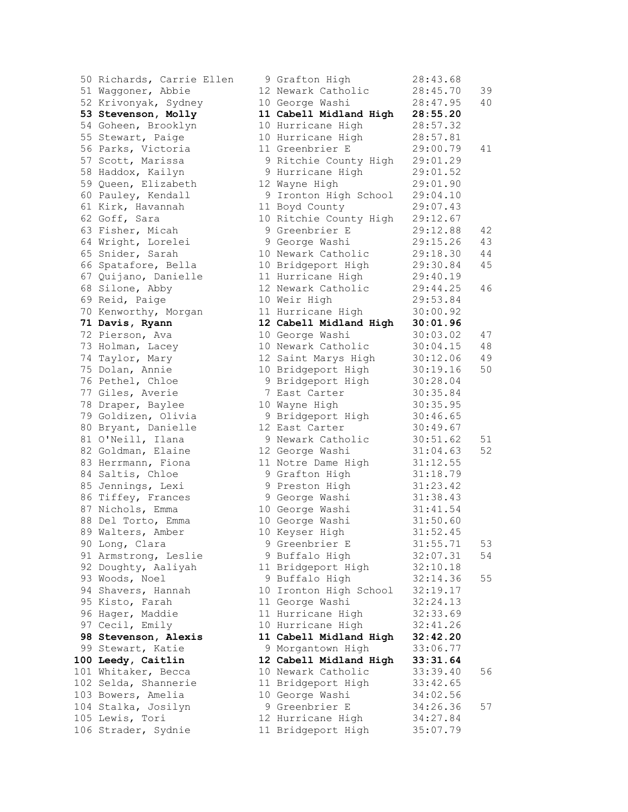50 Richards, Carrie Ellen 51 Waggoner, Abbie 52 Krivonyak, Sydney 53 Stevenson, Molly 54 Goheen, Brooklyn 55 Stewart, Paige 56 Parks, Victoria 57 Scott, Marissa 58 Haddox, Kailyn 59 Queen, Elizabeth 60 Pauley, Kendall 61 Kirk, Havannah 62 Goff, Sara 63 Fisher, Micah 64 Wright, Lorelei 65 Snider, Sarah 66 Spatafore, Bella 67 Quijano, Danielle 68 Silone, Abby 69 Reid, Paige 70 Kenworthy, Morgan 71 Davis, Ryann 72 Pierson, Ava 73 Holman, Lacey 74 Taylor, Mary 75 Dolan, Annie 76 Pethel, Chloe 77 Giles, Averie 78 Draper, Baylee 79 Goldizen, Olivia 80 Bryant, Danielle 81 O'Neill, Ilana 82 Goldman, Elaine 83 Herrmann, Fiona 84 Saltis, Chloe 85 Jennings, Lexi 86 Tiffey, Frances 87 Nichols, Emma 88 Del Torto, Emma 89 Walters, Amber 90 Long, Clara 91 Armstrong, Leslie 92 Doughty, Aaliyah 93 Woods, Noel 94 Shavers, Hannah 95 Kisto, Farah 96 Hager, Maddie 97 Cecil, Emily **98 Stevenson, Alexis** 99 Stewart, Katie 100 Leedy, Caitlin 101 Whitaker, Becca 102 Selda, Shannerie 103 Bowers, Amelia 104 Stalka, Josilyn 105 Lewis, Tori 106 Strader, Sydnie

|                 | 9 Grafton High         | 28:43.68 |    |
|-----------------|------------------------|----------|----|
|                 | 12 Newark Catholic     | 28:45.70 | 39 |
|                 | 10 George Washi        | 28:47.95 | 40 |
|                 | 11 Cabell Midland High | 28:55.20 |    |
| 10              | Hurricane High         | 28:57.32 |    |
| 10              | Hurricane High         | 28:57.81 |    |
|                 | 11 Greenbrier E        | 29:00.79 | 41 |
| 9               | Ritchie County High    | 29:01.29 |    |
| 9               | Hurricane High         | 29:01.52 |    |
| 12 <sub>2</sub> | Wayne High             | 29:01.90 |    |
| 9               | Ironton High School    | 29:04.10 |    |
| 11              | Boyd County            | 29:07.43 |    |
| 10              | Ritchie County High    | 29:12.67 |    |
| 9               | Greenbrier E           | 29:12.88 | 42 |
| 9               | George Washi           | 29:15.26 | 43 |
| 10              | Newark Catholic        | 29:18.30 | 44 |
| 10              | Bridgeport High        | 29:30.84 | 45 |
| 11              | Hurricane High         | 29:40.19 |    |
| 12              | Newark Catholic        | 29:44.25 | 46 |
| 10              | Weir High              | 29:53.84 |    |
| $11 \,$         | Hurricane High         | 30:00.92 |    |
| 12              | Cabell Midland High    | 30:01.96 |    |
| 10              | George Washi           | 30:03.02 | 47 |
| 10              | Newark Catholic        | 30:04.15 | 48 |
| 12              | Saint Marys High       | 30:12.06 | 49 |
| 10              | Bridgeport High        | 30:19.16 | 50 |
| 9               | Bridgeport High        | 30:28.04 |    |
| 7               | East Carter            | 30:35.84 |    |
| 10              | Wayne High             | 30:35.95 |    |
| 9               | Bridgeport High        | 30:46.65 |    |
| 12              | East Carter            | 30:49.67 |    |
| 9               | Newark Catholic        | 30:51.62 | 51 |
| 12              | George Washi           | 31:04.63 | 52 |
| $11 \,$         | Notre Dame High        | 31:12.55 |    |
| 9               | Grafton High           | 31:18.79 |    |
| 9               | Preston High           | 31:23.42 |    |
|                 | 9 George Washi         | 31:38.43 |    |
|                 | 10 George Washi        | 31:41.54 |    |
|                 | 10 George Washi        | 31:50.60 |    |
|                 | 10 Keyser High         | 31:52.45 |    |
|                 | 9 Greenbrier E         | 31:55.71 | 53 |
|                 | 9 Buffalo High         | 32:07.31 | 54 |
|                 | 11 Bridgeport High     | 32:10.18 |    |
|                 | 9 Buffalo High         | 32:14.36 | 55 |
| 10              | Ironton High School    | 32:19.17 |    |
| 11              | George Washi           | 32:24.13 |    |
| 11              | Hurricane High         | 32:33.69 |    |
| 10 <sub>o</sub> | Hurricane High         | 32:41.26 |    |
| 11              | Cabell Midland High    | 32:42.20 |    |
| 9               | Morgantown High        | 33:06.77 |    |
| 12              | Cabell Midland High    | 33:31.64 |    |
| 10              | Newark Catholic        | 33:39.40 | 56 |
| 11              | Bridgeport High        | 33:42.65 |    |
| 10              | George Washi           | 34:02.56 |    |
| 9               | Greenbrier E           | 34:26.36 | 57 |
|                 | 12 Hurricane High      | 34:27.84 |    |
|                 | 11 Bridgeport High     | 35:07.79 |    |